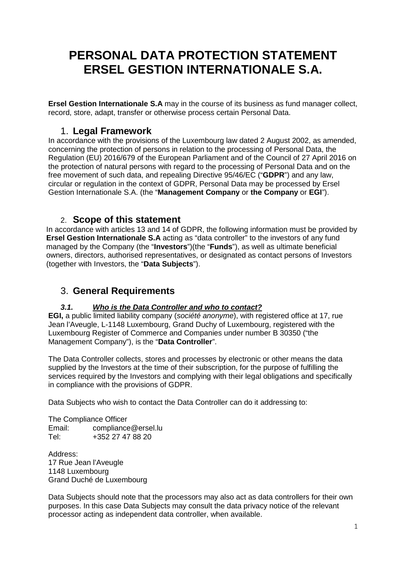# **PERSONAL DATA PROTECTION STATEMENT ERSEL GESTION INTERNATIONALE S.A.**

**Ersel Gestion Internationale S.A** may in the course of its business as fund manager collect, record, store, adapt, transfer or otherwise process certain Personal Data.

## 1. **Legal Framework**

In accordance with the provisions of the Luxembourg law dated 2 August 2002, as amended, concerning the protection of persons in relation to the processing of Personal Data, the Regulation (EU) 2016/679 of the European Parliament and of the Council of 27 April 2016 on the protection of natural persons with regard to the processing of Personal Data and on the free movement of such data, and repealing Directive 95/46/EC ("**GDPR**") and any law, circular or regulation in the context of GDPR, Personal Data may be processed by Ersel Gestion Internationale S.A. (the "**Management Company** or **the Company** or **EGI**").

### 2. **Scope of this statement**

In accordance with articles 13 and 14 of GDPR, the following information must be provided by **Ersel Gestion Internationale S.A** acting as "data controller" to the investors of any fund managed by the Company (the "**Investors**")(the "**Funds**"), as well as ultimate beneficial owners, directors, authorised representatives, or designated as contact persons of Investors (together with Investors, the "**Data Subjects**").

## 3. **General Requirements**

#### **3.1. Who is the Data Controller and who to contact?**

**EGI,** a public limited liability company (société anonyme), with registered office at 17, rue Jean l'Aveugle, L-1148 Luxembourg, Grand Duchy of Luxembourg, registered with the Luxembourg Register of Commerce and Companies under number B 30350 ("the Management Company"), is the "**Data Controller**".

The Data Controller collects, stores and processes by electronic or other means the data supplied by the Investors at the time of their subscription, for the purpose of fulfilling the services required by the Investors and complying with their legal obligations and specifically in compliance with the provisions of GDPR.

Data Subjects who wish to contact the Data Controller can do it addressing to:

The Compliance Officer Email: compliance@ersel.lu<br>Tel: +352 27 47 88 20 +352 27 47 88 20

Address: 17 Rue Jean l'Aveugle 1148 Luxembourg Grand Duché de Luxembourg

Data Subjects should note that the processors may also act as data controllers for their own purposes. In this case Data Subjects may consult the data privacy notice of the relevant processor acting as independent data controller, when available.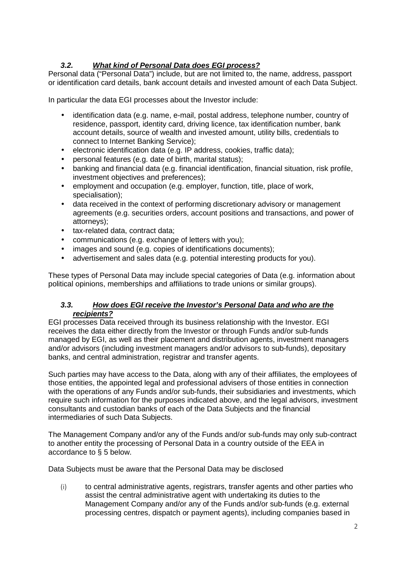#### **3.2. What kind of Personal Data does EGI process?**

Personal data ("Personal Data") include, but are not limited to, the name, address, passport or identification card details, bank account details and invested amount of each Data Subject.

In particular the data EGI processes about the Investor include:

- identification data (e.g. name, e-mail, postal address, telephone number, country of residence, passport, identity card, driving licence, tax identification number, bank account details, source of wealth and invested amount, utility bills, credentials to connect to Internet Banking Service);
- electronic identification data (e.g. IP address, cookies, traffic data);
- personal features (e.g. date of birth, marital status);
- banking and financial data (e.g. financial identification, financial situation, risk profile, investment objectives and preferences);
- employment and occupation (e.g. employer, function, title, place of work, specialisation);
- data received in the context of performing discretionary advisory or management agreements (e.g. securities orders, account positions and transactions, and power of attorneys);
- tax-related data, contract data;
- communications (e.g. exchange of letters with you);
- images and sound (e.g. copies of identifications documents);
- advertisement and sales data (e.g. potential interesting products for you).

These types of Personal Data may include special categories of Data (e.g. information about political opinions, memberships and affiliations to trade unions or similar groups).

#### **3.3. How does EGI receive the Investor's Personal Data and who are the recipients?**

EGI processes Data received through its business relationship with the Investor. EGI receives the data either directly from the Investor or through Funds and/or sub-funds managed by EGI, as well as their placement and distribution agents, investment managers and/or advisors (including investment managers and/or advisors to sub-funds), depositary banks, and central administration, registrar and transfer agents.

Such parties may have access to the Data, along with any of their affiliates, the employees of those entities, the appointed legal and professional advisers of those entities in connection with the operations of any Funds and/or sub-funds, their subsidiaries and investments, which require such information for the purposes indicated above, and the legal advisors, investment consultants and custodian banks of each of the Data Subjects and the financial intermediaries of such Data Subjects.

The Management Company and/or any of the Funds and/or sub-funds may only sub-contract to another entity the processing of Personal Data in a country outside of the EEA in accordance to § 5 below.

Data Subjects must be aware that the Personal Data may be disclosed

(i) to central administrative agents, registrars, transfer agents and other parties who assist the central administrative agent with undertaking its duties to the Management Company and/or any of the Funds and/or sub-funds (e.g. external processing centres, dispatch or payment agents), including companies based in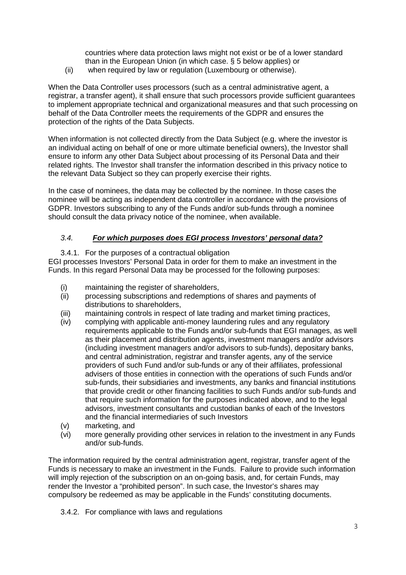countries where data protection laws might not exist or be of a lower standard than in the European Union (in which case. § 5 below applies) or

(ii) when required by law or regulation (Luxembourg or otherwise).

When the Data Controller uses processors (such as a central administrative agent, a registrar, a transfer agent), it shall ensure that such processors provide sufficient guarantees to implement appropriate technical and organizational measures and that such processing on behalf of the Data Controller meets the requirements of the GDPR and ensures the protection of the rights of the Data Subjects.

When information is not collected directly from the Data Subject (e.g. where the investor is an individual acting on behalf of one or more ultimate beneficial owners), the Investor shall ensure to inform any other Data Subject about processing of its Personal Data and their related rights. The Investor shall transfer the information described in this privacy notice to the relevant Data Subject so they can properly exercise their rights.

In the case of nominees, the data may be collected by the nominee. In those cases the nominee will be acting as independent data controller in accordance with the provisions of GDPR. Investors subscribing to any of the Funds and/or sub-funds through a nominee should consult the data privacy notice of the nominee, when available.

#### 3.4. **For which purposes does EGI process Investors' personal data?**

3.4.1. For the purposes of a contractual obligation EGI processes Investors' Personal Data in order for them to make an investment in the Funds. In this regard Personal Data may be processed for the following purposes:

- (i) maintaining the register of shareholders,
- (ii) processing subscriptions and redemptions of shares and payments of distributions to shareholders.
- (iii) maintaining controls in respect of late trading and market timing practices,
- (iv) complying with applicable anti-money laundering rules and any regulatory requirements applicable to the Funds and/or sub-funds that EGI manages, as well as their placement and distribution agents, investment managers and/or advisors (including investment managers and/or advisors to sub-funds), depositary banks, and central administration, registrar and transfer agents, any of the service providers of such Fund and/or sub-funds or any of their affiliates, professional advisers of those entities in connection with the operations of such Funds and/or sub-funds, their subsidiaries and investments, any banks and financial institutions that provide credit or other financing facilities to such Funds and/or sub-funds and that require such information for the purposes indicated above, and to the legal advisors, investment consultants and custodian banks of each of the Investors and the financial intermediaries of such Investors
- (v) marketing, and
- (vi) more generally providing other services in relation to the investment in any Funds and/or sub-funds.

The information required by the central administration agent, registrar, transfer agent of the Funds is necessary to make an investment in the Funds. Failure to provide such information will imply rejection of the subscription on an on-going basis, and, for certain Funds, may render the Investor a "prohibited person". In such case, the Investor's shares may compulsory be redeemed as may be applicable in the Funds' constituting documents.

3.4.2. For compliance with laws and regulations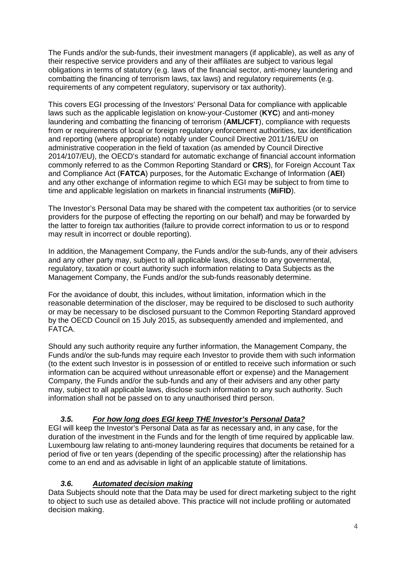The Funds and/or the sub-funds, their investment managers (if applicable), as well as any of their respective service providers and any of their affiliates are subject to various legal obligations in terms of statutory (e.g. laws of the financial sector, anti-money laundering and combatting the financing of terrorism laws, tax laws) and regulatory requirements (e.g. requirements of any competent regulatory, supervisory or tax authority).

This covers EGI processing of the Investors' Personal Data for compliance with applicable laws such as the applicable legislation on know-your-Customer (**KYC**) and anti-money laundering and combatting the financing of terrorism (**AML/CFT**), compliance with requests from or requirements of local or foreign regulatory enforcement authorities, tax identification and reporting (where appropriate) notably under Council Directive 2011/16/EU on administrative cooperation in the field of taxation (as amended by Council Directive 2014/107/EU), the OECD's standard for automatic exchange of financial account information commonly referred to as the Common Reporting Standard or **CRS**), for Foreign Account Tax and Compliance Act (**FATCA**) purposes, for the Automatic Exchange of Information (**AEI**) and any other exchange of information regime to which EGI may be subject to from time to time and applicable legislation on markets in financial instruments (**MiFID**).

The Investor's Personal Data may be shared with the competent tax authorities (or to service providers for the purpose of effecting the reporting on our behalf) and may be forwarded by the latter to foreign tax authorities (failure to provide correct information to us or to respond may result in incorrect or double reporting).

In addition, the Management Company, the Funds and/or the sub-funds, any of their advisers and any other party may, subject to all applicable laws, disclose to any governmental, regulatory, taxation or court authority such information relating to Data Subjects as the Management Company, the Funds and/or the sub-funds reasonably determine.

For the avoidance of doubt, this includes, without limitation, information which in the reasonable determination of the discloser, may be required to be disclosed to such authority or may be necessary to be disclosed pursuant to the Common Reporting Standard approved by the OECD Council on 15 July 2015, as subsequently amended and implemented, and FATCA.

Should any such authority require any further information, the Management Company, the Funds and/or the sub-funds may require each Investor to provide them with such information (to the extent such Investor is in possession of or entitled to receive such information or such information can be acquired without unreasonable effort or expense) and the Management Company, the Funds and/or the sub-funds and any of their advisers and any other party may, subject to all applicable laws, disclose such information to any such authority. Such information shall not be passed on to any unauthorised third person.

#### **3.5. For how long does EGI keep THE Investor's Personal Data?**

EGI will keep the Investor's Personal Data as far as necessary and, in any case, for the duration of the investment in the Funds and for the length of time required by applicable law. Luxembourg law relating to anti-money laundering requires that documents be retained for a period of five or ten years (depending of the specific processing) after the relationship has come to an end and as advisable in light of an applicable statute of limitations.

#### **3.6. Automated decision making**

Data Subjects should note that the Data may be used for direct marketing subject to the right to object to such use as detailed above. This practice will not include profiling or automated decision making.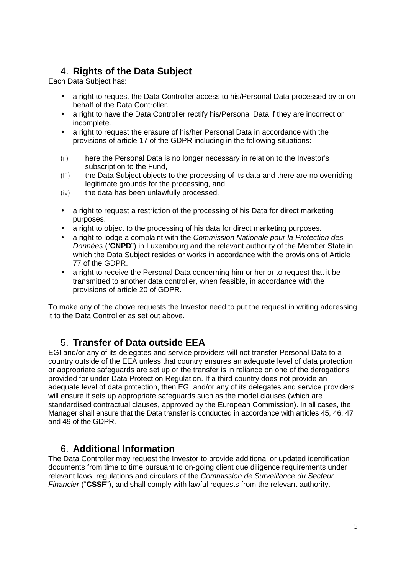# 4. **Rights of the Data Subject**

Each Data Subject has:

- a right to request the Data Controller access to his/Personal Data processed by or on behalf of the Data Controller.
- a right to have the Data Controller rectify his/Personal Data if they are incorrect or incomplete.
- a right to request the erasure of his/her Personal Data in accordance with the provisions of article 17 of the GDPR including in the following situations:
- (ii) here the Personal Data is no longer necessary in relation to the Investor's subscription to the Fund,
- (iii) the Data Subject objects to the processing of its data and there are no overriding legitimate grounds for the processing, and
- (iv) the data has been unlawfully processed.
- a right to request a restriction of the processing of his Data for direct marketing purposes.
- a right to object to the processing of his data for direct marketing purposes.
- a right to lodge a complaint with the Commission Nationale pour la Protection des Données ("**CNPD**") in Luxembourg and the relevant authority of the Member State in which the Data Subject resides or works in accordance with the provisions of Article 77 of the GDPR.
- a right to receive the Personal Data concerning him or her or to request that it be transmitted to another data controller, when feasible, in accordance with the provisions of article 20 of GDPR.

To make any of the above requests the Investor need to put the request in writing addressing it to the Data Controller as set out above.

# 5. **Transfer of Data outside EEA**

EGI and/or any of its delegates and service providers will not transfer Personal Data to a country outside of the EEA unless that country ensures an adequate level of data protection or appropriate safeguards are set up or the transfer is in reliance on one of the derogations provided for under Data Protection Regulation. If a third country does not provide an adequate level of data protection, then EGI and/or any of its delegates and service providers will ensure it sets up appropriate safeguards such as the model clauses (which are standardised contractual clauses, approved by the European Commission). In all cases, the Manager shall ensure that the Data transfer is conducted in accordance with articles 45, 46, 47 and 49 of the GDPR.

# 6. **Additional Information**

The Data Controller may request the Investor to provide additional or updated identification documents from time to time pursuant to on-going client due diligence requirements under relevant laws, regulations and circulars of the Commission de Surveillance du Secteur Financier ("**CSSF**"), and shall comply with lawful requests from the relevant authority.